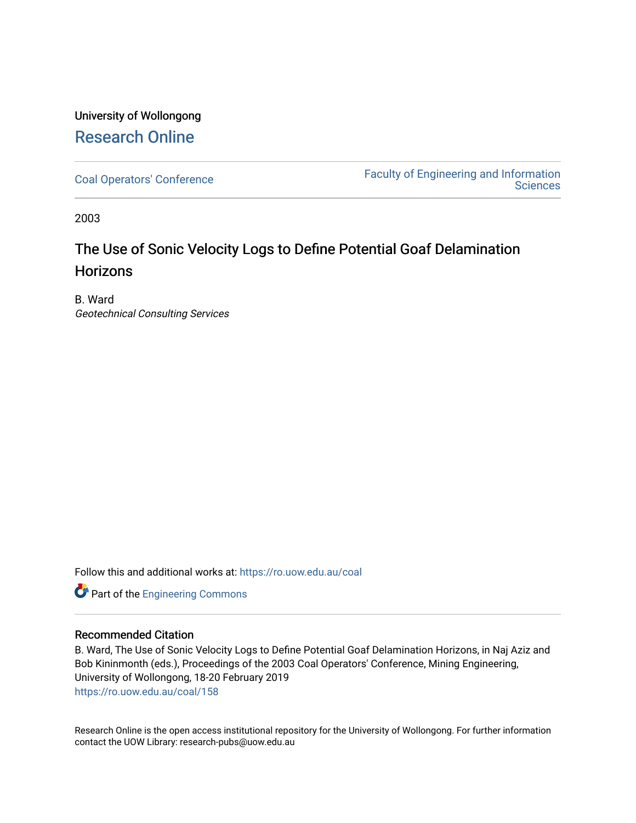## University of Wollongong [Research Online](https://ro.uow.edu.au/)

[Coal Operators' Conference](https://ro.uow.edu.au/coal) [Faculty of Engineering and Information](https://ro.uow.edu.au/eis)  **Sciences** 

2003

# The Use of Sonic Velocity Logs to Define Potential Goaf Delamination **Horizons**

B. Ward Geotechnical Consulting Services

Follow this and additional works at: [https://ro.uow.edu.au/coal](https://ro.uow.edu.au/coal?utm_source=ro.uow.edu.au%2Fcoal%2F158&utm_medium=PDF&utm_campaign=PDFCoverPages) 

Part of the [Engineering Commons](http://network.bepress.com/hgg/discipline/217?utm_source=ro.uow.edu.au%2Fcoal%2F158&utm_medium=PDF&utm_campaign=PDFCoverPages)

#### Recommended Citation

B. Ward, The Use of Sonic Velocity Logs to Define Potential Goaf Delamination Horizons, in Naj Aziz and Bob Kininmonth (eds.), Proceedings of the 2003 Coal Operators' Conference, Mining Engineering, University of Wollongong, 18-20 February 2019 [https://ro.uow.edu.au/coal/158](https://ro.uow.edu.au/coal/158?utm_source=ro.uow.edu.au%2Fcoal%2F158&utm_medium=PDF&utm_campaign=PDFCoverPages) 

Research Online is the open access institutional repository for the University of Wollongong. For further information contact the UOW Library: research-pubs@uow.edu.au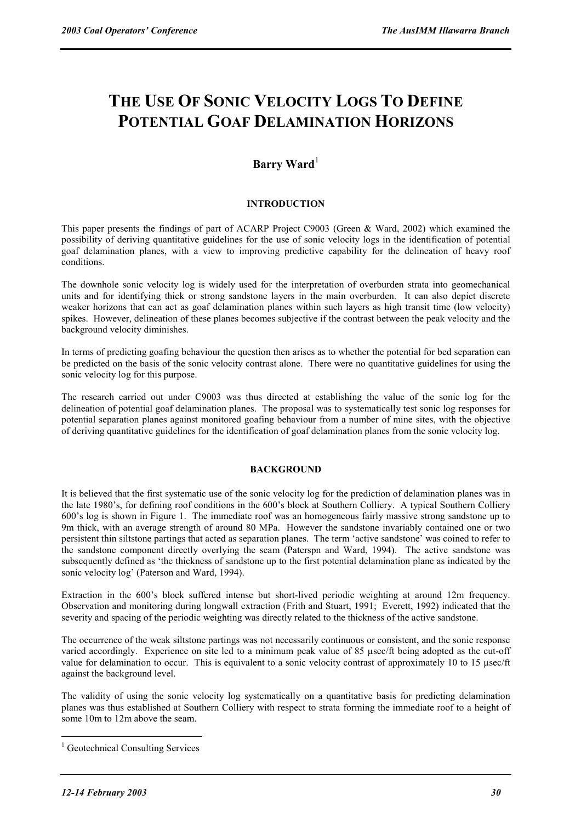# **THE USE OF SONIC VELOCITY LOGS TO DEFINE POTENTIAL GOAF DELAMINATION HORIZONS**

### **Barry Ward**<sup>1</sup>

#### **INTRODUCTION**

This paper presents the findings of part of ACARP Project C9003 (Green & Ward, 2002) which examined the possibility of deriving quantitative guidelines for the use of sonic velocity logs in the identification of potential goaf delamination planes, with a view to improving predictive capability for the delineation of heavy roof conditions.

The downhole sonic velocity log is widely used for the interpretation of overburden strata into geomechanical units and for identifying thick or strong sandstone layers in the main overburden. It can also depict discrete weaker horizons that can act as goaf delamination planes within such layers as high transit time (low velocity) spikes. However, delineation of these planes becomes subjective if the contrast between the peak velocity and the background velocity diminishes.

In terms of predicting goafing behaviour the question then arises as to whether the potential for bed separation can be predicted on the basis of the sonic velocity contrast alone. There were no quantitative guidelines for using the sonic velocity log for this purpose.

The research carried out under C9003 was thus directed at establishing the value of the sonic log for the delineation of potential goaf delamination planes. The proposal was to systematically test sonic log responses for potential separation planes against monitored goafing behaviour from a number of mine sites, with the objective of deriving quantitative guidelines for the identification of goaf delamination planes from the sonic velocity log.

#### **BACKGROUND**

It is believed that the first systematic use of the sonic velocity log for the prediction of delamination planes was in the late 1980's, for defining roof conditions in the 600's block at Southern Colliery. A typical Southern Colliery 600's log is shown in Figure 1. The immediate roof was an homogeneous fairly massive strong sandstone up to 9m thick, with an average strength of around 80 MPa. However the sandstone invariably contained one or two persistent thin siltstone partings that acted as separation planes. The term 'active sandstone' was coined to refer to the sandstone component directly overlying the seam (Paterspn and Ward, 1994). The active sandstone was subsequently defined as 'the thickness of sandstone up to the first potential delamination plane as indicated by the sonic velocity log' (Paterson and Ward, 1994).

Extraction in the 600's block suffered intense but short-lived periodic weighting at around 12m frequency. Observation and monitoring during longwall extraction (Frith and Stuart, 1991; Everett, 1992) indicated that the severity and spacing of the periodic weighting was directly related to the thickness of the active sandstone.

The occurrence of the weak siltstone partings was not necessarily continuous or consistent, and the sonic response varied accordingly. Experience on site led to a minimum peak value of 85 µsec/ft being adopted as the cut-off value for delamination to occur. This is equivalent to a sonic velocity contrast of approximately 10 to 15 µsec/ft against the background level.

The validity of using the sonic velocity log systematically on a quantitative basis for predicting delamination planes was thus established at Southern Colliery with respect to strata forming the immediate roof to a height of some 10m to 12m above the seam.

 $\overline{a}$ 

<sup>&</sup>lt;sup>1</sup> Geotechnical Consulting Services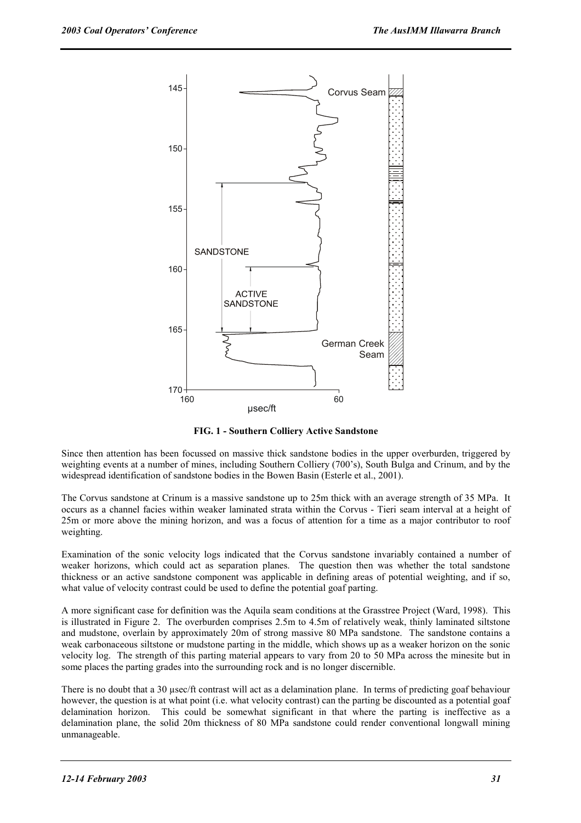

**FIG. 1 - Southern Colliery Active Sandstone** 

Since then attention has been focussed on massive thick sandstone bodies in the upper overburden, triggered by weighting events at a number of mines, including Southern Colliery (700's), South Bulga and Crinum, and by the widespread identification of sandstone bodies in the Bowen Basin (Esterle et al., 2001).

The Corvus sandstone at Crinum is a massive sandstone up to 25m thick with an average strength of 35 MPa. It occurs as a channel facies within weaker laminated strata within the Corvus - Tieri seam interval at a height of 25m or more above the mining horizon, and was a focus of attention for a time as a major contributor to roof weighting.

Examination of the sonic velocity logs indicated that the Corvus sandstone invariably contained a number of weaker horizons, which could act as separation planes. The question then was whether the total sandstone thickness or an active sandstone component was applicable in defining areas of potential weighting, and if so, what value of velocity contrast could be used to define the potential goaf parting.

A more significant case for definition was the Aquila seam conditions at the Grasstree Project (Ward, 1998). This is illustrated in Figure 2. The overburden comprises 2.5m to 4.5m of relatively weak, thinly laminated siltstone and mudstone, overlain by approximately 20m of strong massive 80 MPa sandstone. The sandstone contains a weak carbonaceous siltstone or mudstone parting in the middle, which shows up as a weaker horizon on the sonic velocity log. The strength of this parting material appears to vary from 20 to 50 MPa across the minesite but in some places the parting grades into the surrounding rock and is no longer discernible.

There is no doubt that a 30 µsec/ft contrast will act as a delamination plane. In terms of predicting goaf behaviour however, the question is at what point (i.e. what velocity contrast) can the parting be discounted as a potential goaf delamination horizon. This could be somewhat significant in that where the parting is ineffective as a delamination plane, the solid 20m thickness of 80 MPa sandstone could render conventional longwall mining unmanageable.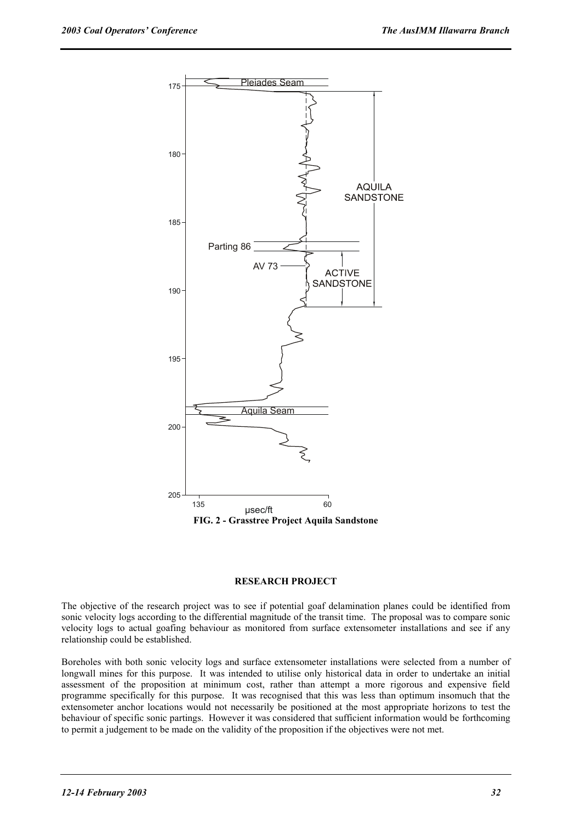

#### **RESEARCH PROJECT**

The objective of the research project was to see if potential goaf delamination planes could be identified from sonic velocity logs according to the differential magnitude of the transit time. The proposal was to compare sonic velocity logs to actual goafing behaviour as monitored from surface extensometer installations and see if any relationship could be established.

Boreholes with both sonic velocity logs and surface extensometer installations were selected from a number of longwall mines for this purpose. It was intended to utilise only historical data in order to undertake an initial assessment of the proposition at minimum cost, rather than attempt a more rigorous and expensive field programme specifically for this purpose. It was recognised that this was less than optimum insomuch that the extensometer anchor locations would not necessarily be positioned at the most appropriate horizons to test the behaviour of specific sonic partings. However it was considered that sufficient information would be forthcoming to permit a judgement to be made on the validity of the proposition if the objectives were not met.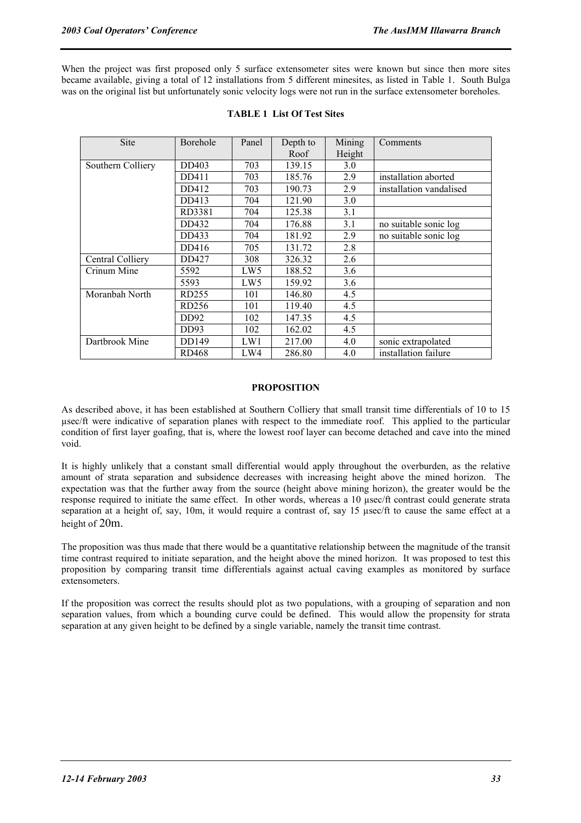When the project was first proposed only 5 surface extensometer sites were known but since then more sites became available, giving a total of 12 installations from 5 different minesites, as listed in Table 1. South Bulga was on the original list but unfortunately sonic velocity logs were not run in the surface extensometer boreholes.

| Site              | Borehole         | Panel           | Depth to<br>Roof | Mining<br>Height | Comments                |
|-------------------|------------------|-----------------|------------------|------------------|-------------------------|
| Southern Colliery | DD403            | 703             | 139.15           | 3.0              |                         |
|                   | DD411            | 703             | 185.76           | 2.9              | installation aborted    |
|                   | DD412            | 703             | 190.73           | 2.9              | installation vandalised |
|                   | DD413            | 704             | 121.90           | 3.0              |                         |
|                   | RD3381           | 704             | 125.38           | 3.1              |                         |
|                   | DD432            | 704             | 176.88           | 3.1              | no suitable sonic log   |
|                   | DD433            | 704             | 181.92           | 2.9              | no suitable sonic log   |
|                   | DD416            | 705             | 131.72           | 2.8              |                         |
| Central Colliery  | DD427            | 308             | 326.32           | 2.6              |                         |
| Crinum Mine       | 5592             | LW <sub>5</sub> | 188.52           | 3.6              |                         |
|                   | 5593             | LW <sub>5</sub> | 159.92           | 3.6              |                         |
| Moranbah North    | RD255            | 101             | 146.80           | 4.5              |                         |
|                   | RD256            | 101             | 119.40           | 4.5              |                         |
|                   | DD <sub>92</sub> | 102             | 147.35           | 4.5              |                         |
|                   | DD93             | 102             | 162.02           | 4.5              |                         |
| Dartbrook Mine    | DD149            | LW1             | 217.00           | 4.0              | sonic extrapolated      |
|                   | <b>RD468</b>     | LW4             | 286.80           | 4.0              | installation failure    |

#### **TABLE 1 List Of Test Sites**

#### **PROPOSITION**

As described above, it has been established at Southern Colliery that small transit time differentials of 10 to 15 µsec/ft were indicative of separation planes with respect to the immediate roof. This applied to the particular condition of first layer goafing, that is, where the lowest roof layer can become detached and cave into the mined void.

It is highly unlikely that a constant small differential would apply throughout the overburden, as the relative amount of strata separation and subsidence decreases with increasing height above the mined horizon. The expectation was that the further away from the source (height above mining horizon), the greater would be the response required to initiate the same effect. In other words, whereas a 10 µsec/ft contrast could generate strata separation at a height of, say, 10m, it would require a contrast of, say 15 usec/ft to cause the same effect at a height of 20m.

The proposition was thus made that there would be a quantitative relationship between the magnitude of the transit time contrast required to initiate separation, and the height above the mined horizon. It was proposed to test this proposition by comparing transit time differentials against actual caving examples as monitored by surface extensometers.

If the proposition was correct the results should plot as two populations, with a grouping of separation and non separation values, from which a bounding curve could be defined. This would allow the propensity for strata separation at any given height to be defined by a single variable, namely the transit time contrast.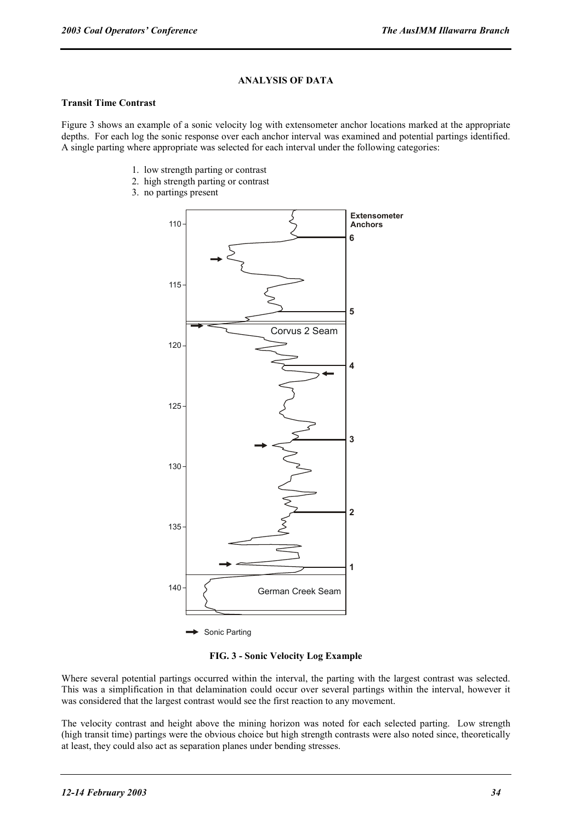#### **ANALYSIS OF DATA**

#### **Transit Time Contrast**

Figure 3 shows an example of a sonic velocity log with extensometer anchor locations marked at the appropriate depths. For each log the sonic response over each anchor interval was examined and potential partings identified. A single parting where appropriate was selected for each interval under the following categories:

- 1. low strength parting or contrast
- 2. high strength parting or contrast
- 3. no partings present



Sonic Parting

**FIG. 3 - Sonic Velocity Log Example** 

Where several potential partings occurred within the interval, the parting with the largest contrast was selected. This was a simplification in that delamination could occur over several partings within the interval, however it was considered that the largest contrast would see the first reaction to any movement.

The velocity contrast and height above the mining horizon was noted for each selected parting. Low strength (high transit time) partings were the obvious choice but high strength contrasts were also noted since, theoretically at least, they could also act as separation planes under bending stresses.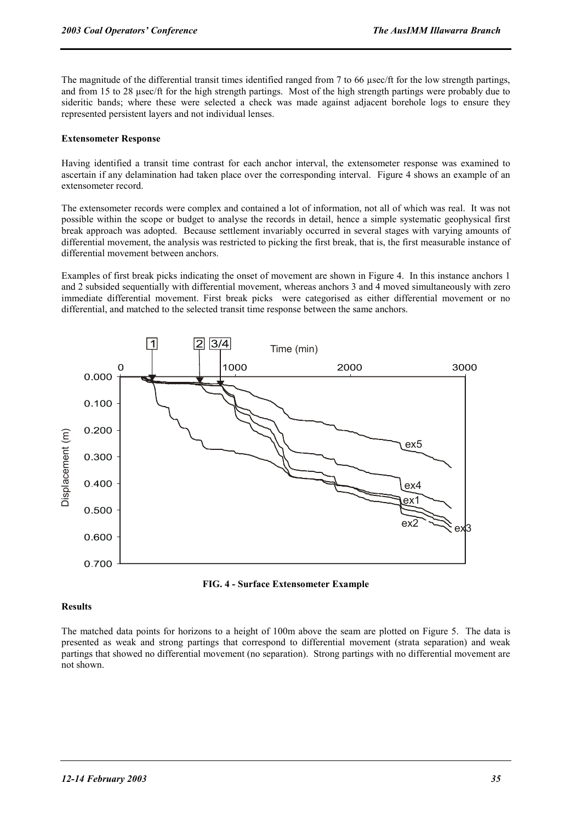The magnitude of the differential transit times identified ranged from 7 to 66 µsec/ft for the low strength partings, and from 15 to 28 µsec/ft for the high strength partings. Most of the high strength partings were probably due to sideritic bands; where these were selected a check was made against adjacent borehole logs to ensure they represented persistent layers and not individual lenses.

#### **Extensometer Response**

Having identified a transit time contrast for each anchor interval, the extensometer response was examined to ascertain if any delamination had taken place over the corresponding interval. Figure 4 shows an example of an extensometer record.

The extensometer records were complex and contained a lot of information, not all of which was real. It was not possible within the scope or budget to analyse the records in detail, hence a simple systematic geophysical first break approach was adopted. Because settlement invariably occurred in several stages with varying amounts of differential movement, the analysis was restricted to picking the first break, that is, the first measurable instance of differential movement between anchors.

Examples of first break picks indicating the onset of movement are shown in Figure 4. In this instance anchors 1 and 2 subsided sequentially with differential movement, whereas anchors 3 and 4 moved simultaneously with zero immediate differential movement. First break picks were categorised as either differential movement or no differential, and matched to the selected transit time response between the same anchors.





#### **Results**

The matched data points for horizons to a height of 100m above the seam are plotted on Figure 5. The data is presented as weak and strong partings that correspond to differential movement (strata separation) and weak partings that showed no differential movement (no separation). Strong partings with no differential movement are not shown.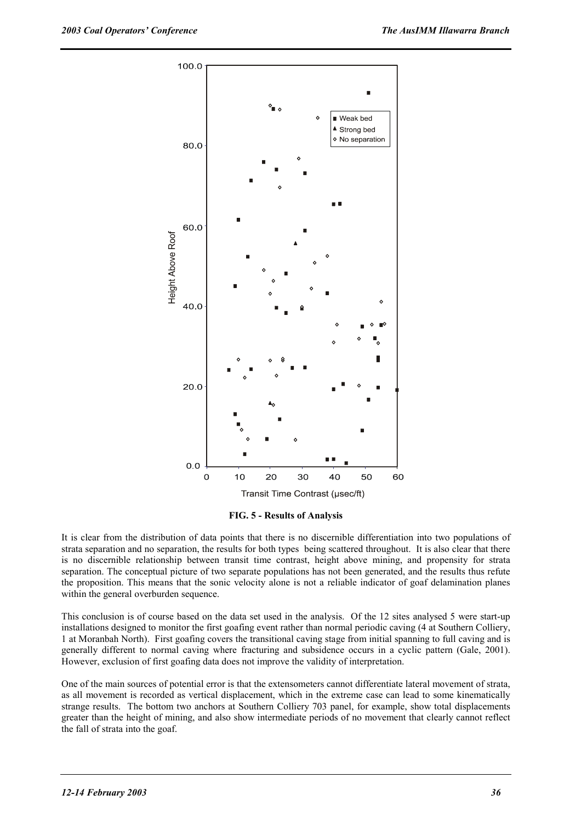

**FIG. 5 - Results of Analysis** 

It is clear from the distribution of data points that there is no discernible differentiation into two populations of strata separation and no separation, the results for both types being scattered throughout. It is also clear that there is no discernible relationship between transit time contrast, height above mining, and propensity for strata separation. The conceptual picture of two separate populations has not been generated, and the results thus refute the proposition. This means that the sonic velocity alone is not a reliable indicator of goaf delamination planes within the general overburden sequence.

This conclusion is of course based on the data set used in the analysis. Of the 12 sites analysed 5 were start-up installations designed to monitor the first goafing event rather than normal periodic caving (4 at Southern Colliery, 1 at Moranbah North). First goafing covers the transitional caving stage from initial spanning to full caving and is generally different to normal caving where fracturing and subsidence occurs in a cyclic pattern (Gale, 2001). However, exclusion of first goafing data does not improve the validity of interpretation.

One of the main sources of potential error is that the extensometers cannot differentiate lateral movement of strata, as all movement is recorded as vertical displacement, which in the extreme case can lead to some kinematically strange results. The bottom two anchors at Southern Colliery 703 panel, for example, show total displacements greater than the height of mining, and also show intermediate periods of no movement that clearly cannot reflect the fall of strata into the goaf.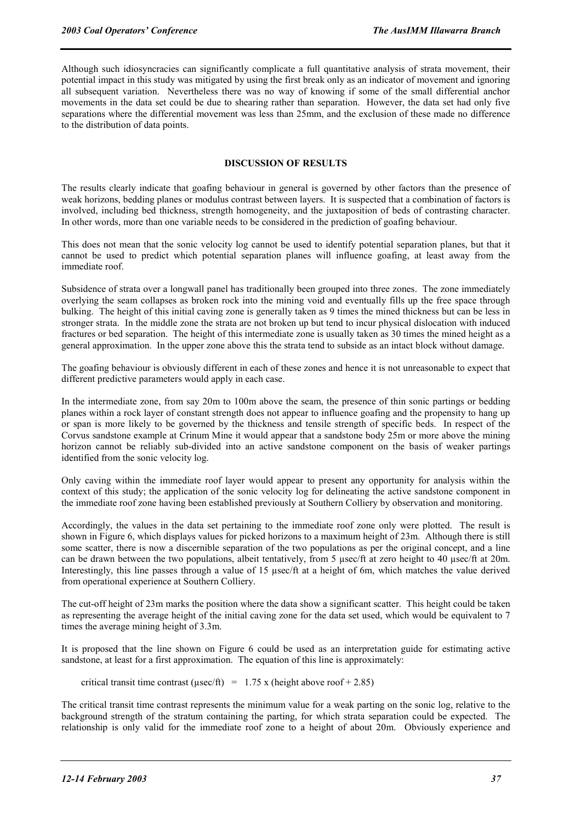Although such idiosyncracies can significantly complicate a full quantitative analysis of strata movement, their potential impact in this study was mitigated by using the first break only as an indicator of movement and ignoring all subsequent variation. Nevertheless there was no way of knowing if some of the small differential anchor movements in the data set could be due to shearing rather than separation. However, the data set had only five separations where the differential movement was less than 25mm, and the exclusion of these made no difference to the distribution of data points.

#### **DISCUSSION OF RESULTS**

The results clearly indicate that goafing behaviour in general is governed by other factors than the presence of weak horizons, bedding planes or modulus contrast between layers. It is suspected that a combination of factors is involved, including bed thickness, strength homogeneity, and the juxtaposition of beds of contrasting character. In other words, more than one variable needs to be considered in the prediction of goafing behaviour.

This does not mean that the sonic velocity log cannot be used to identify potential separation planes, but that it cannot be used to predict which potential separation planes will influence goafing, at least away from the immediate roof.

Subsidence of strata over a longwall panel has traditionally been grouped into three zones. The zone immediately overlying the seam collapses as broken rock into the mining void and eventually fills up the free space through bulking. The height of this initial caving zone is generally taken as 9 times the mined thickness but can be less in stronger strata. In the middle zone the strata are not broken up but tend to incur physical dislocation with induced fractures or bed separation. The height of this intermediate zone is usually taken as 30 times the mined height as a general approximation. In the upper zone above this the strata tend to subside as an intact block without damage.

The goafing behaviour is obviously different in each of these zones and hence it is not unreasonable to expect that different predictive parameters would apply in each case.

In the intermediate zone, from say 20m to 100m above the seam, the presence of thin sonic partings or bedding planes within a rock layer of constant strength does not appear to influence goafing and the propensity to hang up or span is more likely to be governed by the thickness and tensile strength of specific beds. In respect of the Corvus sandstone example at Crinum Mine it would appear that a sandstone body 25m or more above the mining horizon cannot be reliably sub-divided into an active sandstone component on the basis of weaker partings identified from the sonic velocity log.

Only caving within the immediate roof layer would appear to present any opportunity for analysis within the context of this study; the application of the sonic velocity log for delineating the active sandstone component in the immediate roof zone having been established previously at Southern Colliery by observation and monitoring.

Accordingly, the values in the data set pertaining to the immediate roof zone only were plotted. The result is shown in Figure 6, which displays values for picked horizons to a maximum height of 23m. Although there is still some scatter, there is now a discernible separation of the two populations as per the original concept, and a line can be drawn between the two populations, albeit tentatively, from 5 usec/ft at zero height to 40 usec/ft at 20m. Interestingly, this line passes through a value of 15  $\mu$ sec/ft at a height of 6m, which matches the value derived from operational experience at Southern Colliery.

The cut-off height of 23m marks the position where the data show a significant scatter. This height could be taken as representing the average height of the initial caving zone for the data set used, which would be equivalent to  $7$ times the average mining height of 3.3m.

It is proposed that the line shown on Figure 6 could be used as an interpretation guide for estimating active sandstone, at least for a first approximation. The equation of this line is approximately:

critical transit time contrast ( $\mu$ sec/ft) = 1.75 x (height above roof + 2.85)

The critical transit time contrast represents the minimum value for a weak parting on the sonic log, relative to the background strength of the stratum containing the parting, for which strata separation could be expected. The relationship is only valid for the immediate roof zone to a height of about 20m. Obviously experience and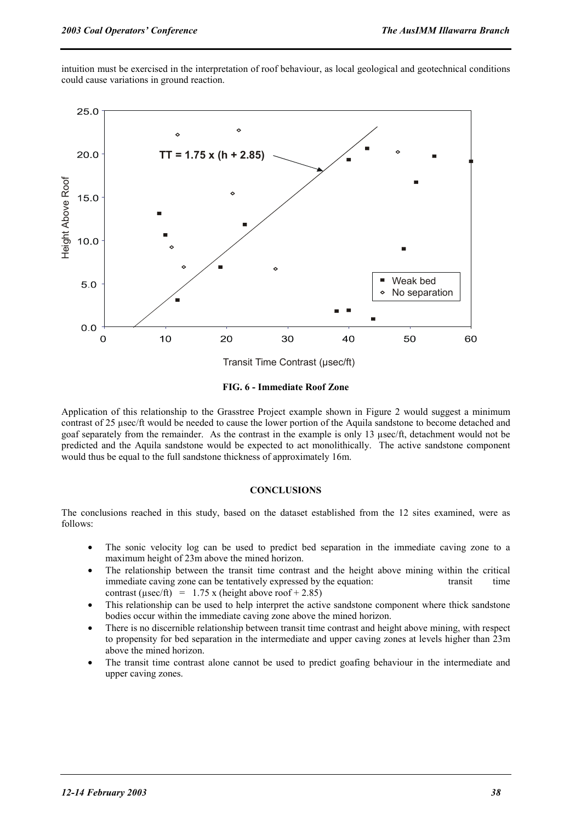intuition must be exercised in the interpretation of roof behaviour, as local geological and geotechnical conditions could cause variations in ground reaction.



**FIG. 6 - Immediate Roof Zone** 

Application of this relationship to the Grasstree Project example shown in Figure 2 would suggest a minimum contrast of 25 µsec/ft would be needed to cause the lower portion of the Aquila sandstone to become detached and goaf separately from the remainder. As the contrast in the example is only 13 µsec/ft, detachment would not be predicted and the Aquila sandstone would be expected to act monolithically. The active sandstone component would thus be equal to the full sandstone thickness of approximately 16m.

#### **CONCLUSIONS**

The conclusions reached in this study, based on the dataset established from the 12 sites examined, were as follows:

- The sonic velocity log can be used to predict bed separation in the immediate caving zone to a maximum height of 23m above the mined horizon.
- The relationship between the transit time contrast and the height above mining within the critical immediate caving zone can be tentatively expressed by the equation: transit time contrast ( $\mu$ sec/ft) = 1.75 x (height above roof + 2.85)
- This relationship can be used to help interpret the active sandstone component where thick sandstone bodies occur within the immediate caving zone above the mined horizon.
- There is no discernible relationship between transit time contrast and height above mining, with respect to propensity for bed separation in the intermediate and upper caving zones at levels higher than 23m above the mined horizon.
- The transit time contrast alone cannot be used to predict goafing behaviour in the intermediate and upper caving zones.